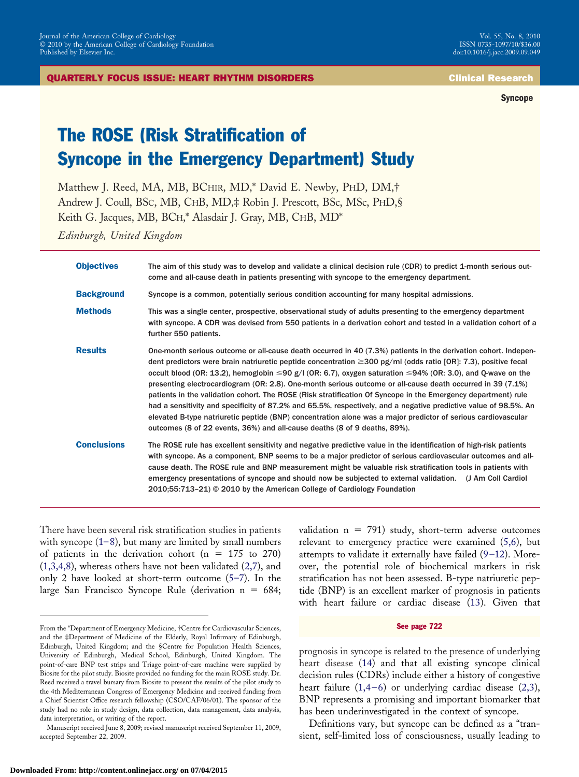**Syncope**

# The ROSE (Risk Stratification of Syncope in the Emergency Department) Study

Matthew J. Reed, MA, MB, BCHIR, MD,\* David E. Newby, PHD, DM,† Andrew J. Coull, BSC, MB, CHB, MD,‡ Robin J. Prescott, BSc, MSc, PHD,§ Keith G. Jacques, MB, BCH,\* Alasdair J. Gray, MB, CHB, MD\*

*Edinburgh, United Kingdom*

| <b>Objectives</b>  | The aim of this study was to develop and validate a clinical decision rule (CDR) to predict 1-month serious out-<br>come and all-cause death in patients presenting with syncope to the emergency department.                                                                                                                                                                                                                                                                                                                                                                                                                                                                                                                                                                                                                                                                                                      |
|--------------------|--------------------------------------------------------------------------------------------------------------------------------------------------------------------------------------------------------------------------------------------------------------------------------------------------------------------------------------------------------------------------------------------------------------------------------------------------------------------------------------------------------------------------------------------------------------------------------------------------------------------------------------------------------------------------------------------------------------------------------------------------------------------------------------------------------------------------------------------------------------------------------------------------------------------|
| <b>Background</b>  | Syncope is a common, potentially serious condition accounting for many hospital admissions.                                                                                                                                                                                                                                                                                                                                                                                                                                                                                                                                                                                                                                                                                                                                                                                                                        |
| <b>Methods</b>     | This was a single center, prospective, observational study of adults presenting to the emergency department<br>with syncope. A CDR was devised from 550 patients in a derivation cohort and tested in a validation cohort of a<br>further 550 patients.                                                                                                                                                                                                                                                                                                                                                                                                                                                                                                                                                                                                                                                            |
| <b>Results</b>     | One-month serious outcome or all-cause death occurred in 40 (7.3%) patients in the derivation cohort. Indepen-<br>dent predictors were brain natriuretic peptide concentration $\geq$ 300 pg/ml (odds ratio [OR]: 7.3), positive fecal<br>occult blood (OR: 13.2), hemoglobin $\leq 90$ g/l (OR: 6.7), oxygen saturation $\leq 94\%$ (OR: 3.0), and Q-wave on the<br>presenting electrocardiogram (OR: 2.8). One-month serious outcome or all-cause death occurred in 39 (7.1%)<br>patients in the validation cohort. The ROSE (Risk stratification Of Syncope in the Emergency department) rule<br>had a sensitivity and specificity of 87.2% and 65.5%, respectively, and a negative predictive value of 98.5%. An<br>elevated B-type natriuretic peptide (BNP) concentration alone was a major predictor of serious cardiovascular<br>outcomes (8 of 22 events, 36%) and all-cause deaths (8 of 9 deaths, 89%). |
| <b>Conclusions</b> | The ROSE rule has excellent sensitivity and negative predictive value in the identification of high-risk patients<br>with syncope. As a component, BNP seems to be a major predictor of serious cardiovascular outcomes and all-<br>cause death. The ROSE rule and BNP measurement might be valuable risk stratification tools in patients with<br>emergency presentations of syncope and should now be subjected to external validation. (J Am Coll Cardiol<br>2010;55:713-21) © 2010 by the American College of Cardiology Foundation                                                                                                                                                                                                                                                                                                                                                                            |

There have been several risk stratification studies in patients with syncope  $(1-8)$ , but many are limited by small numbers of patients in the derivation cohort ( $n = 175$  to 270) [\(1,3,4,8\)](#page-7-0), whereas others have not been validated [\(2,7\)](#page-7-0), and only 2 have looked at short-term outcome [\(5–7\)](#page-7-0). In the large San Francisco Syncope Rule (derivation  $n = 684$ ; validation  $n = 791$ ) study, short-term adverse outcomes relevant to emergency practice were examined [\(5,6\)](#page-7-0), but attempts to validate it externally have failed  $(9-12)$ . Moreover, the potential role of biochemical markers in risk stratification has not been assessed. B-type natriuretic peptide (BNP) is an excellent marker of prognosis in patients with heart failure or cardiac disease [\(13\)](#page-7-0). Given that

#### See page 722

prognosis in syncope is related to the presence of underlying heart disease [\(14\)](#page-7-0) and that all existing syncope clinical decision rules (CDRs) include either a history of congestive heart failure  $(1,4-6)$  or underlying cardiac disease  $(2,3)$ , BNP represents a promising and important biomarker that has been underinvestigated in the context of syncope.

Definitions vary, but syncope can be defined as a "transient, self-limited loss of consciousness, usually leading to

From the \*Department of Emergency Medicine, †Centre for Cardiovascular Sciences, and the ‡Department of Medicine of the Elderly, Royal Infirmary of Edinburgh, Edinburgh, United Kingdom; and the §Centre for Population Health Sciences, University of Edinburgh, Medical School, Edinburgh, United Kingdom. The point-of-care BNP test strips and Triage point-of-care machine were supplied by Biosite for the pilot study. Biosite provided no funding for the main ROSE study. Dr. Reed received a travel bursary from Biosite to present the results of the pilot study to the 4th Mediterranean Congress of Emergency Medicine and received funding from a Chief Scientist Office research fellowship (CSO/CAF/06/01). The sponsor of the study had no role in study design, data collection, data management, data analysis, data interpretation, or writing of the report.

Manuscript received June 8, 2009; revised manuscript received September 11, 2009, accepted September 22, 2009.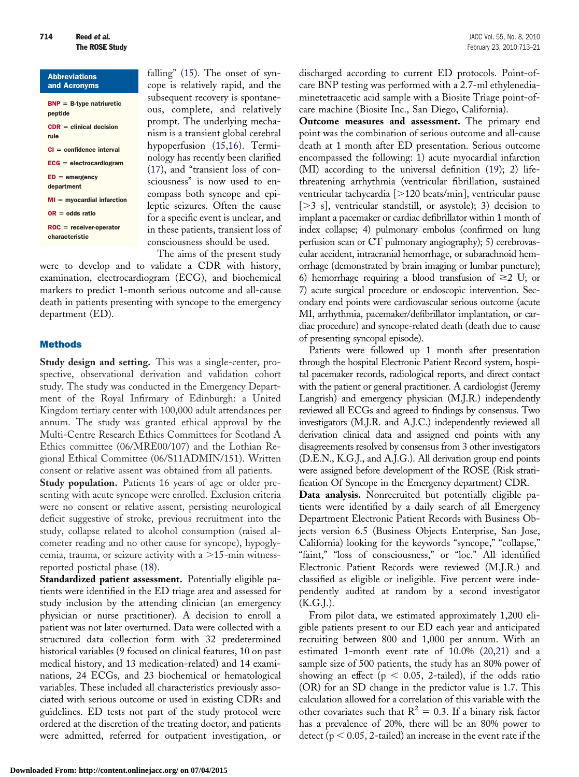| <b>Abbreviations</b><br>and Acronyms        |
|---------------------------------------------|
| $BNP = B-type$ natriuretic<br>peptide       |
| $CDR =$ clinical decision<br>rule           |
| $CI = confidence$ interval                  |
| $ECG = electrocardiogram$                   |
| $ED = emergency$<br>department              |
| $MI = m\gamma$ ocardial infarction          |
| $OR = odds ratio$                           |
| $ROC = receiver-operator$<br>characteristic |

falling" [\(15\)](#page-7-0). The onset of syncope is relatively rapid, and the subsequent recovery is spontaneous, complete, and relatively prompt. The underlying mechanism is a transient global cerebral hypoperfusion [\(15,16\)](#page-7-0). Terminology has recently been clarified [\(17\)](#page-7-0), and "transient loss of consciousness" is now used to encompass both syncope and epileptic seizures. Often the cause for a specific event is unclear, and in these patients, transient loss of consciousness should be used.

The aims of the present study were to develop and to validate a CDR with history, examination, electrocardiogram (ECG), and biochemical markers to predict 1-month serious outcome and all-cause death in patients presenting with syncope to the emergency department (ED).

## Methods

**Study design and setting.** This was a single-center, prospective, observational derivation and validation cohort study. The study was conducted in the Emergency Department of the Royal Infirmary of Edinburgh: a United Kingdom tertiary center with 100,000 adult attendances per annum. The study was granted ethical approval by the Multi-Centre Research Ethics Committees for Scotland A Ethics committee (06/MRE00/107) and the Lothian Regional Ethical Committee (06/S11ADMIN/151). Written consent or relative assent was obtained from all patients.

**Study population.** Patients 16 years of age or older presenting with acute syncope were enrolled. Exclusion criteria were no consent or relative assent, persisting neurological deficit suggestive of stroke, previous recruitment into the study, collapse related to alcohol consumption (raised alcometer reading and no other cause for syncope), hypoglycemia, trauma, or seizure activity with a  $>$ 15-min witnessreported postictal phase [\(18\)](#page-7-0).

**Standardized patient assessment.** Potentially eligible patients were identified in the ED triage area and assessed for study inclusion by the attending clinician (an emergency physician or nurse practitioner). A decision to enroll a patient was not later overturned. Data were collected with a structured data collection form with 32 predetermined historical variables (9 focused on clinical features, 10 on past medical history, and 13 medication-related) and 14 examinations, 24 ECGs, and 23 biochemical or hematological variables. These included all characteristics previously associated with serious outcome or used in existing CDRs and guidelines. ED tests not part of the study protocol were ordered at the discretion of the treating doctor, and patients were admitted, referred for outpatient investigation, or

discharged according to current ED protocols. Point-ofcare BNP testing was performed with a 2.7-ml ethylenediaminetetraacetic acid sample with a Biosite Triage point-ofcare machine (Biosite Inc., San Diego, California).

**Outcome measures and assessment.** The primary end point was the combination of serious outcome and all-cause death at 1 month after ED presentation. Serious outcome encompassed the following: 1) acute myocardial infarction (MI) according to the universal definition [\(19\)](#page-7-0); 2) lifethreatening arrhythmia (ventricular fibrillation, sustained ventricular tachycardia [-120 beats/min], ventricular pause [-3 s], ventricular standstill, or asystole); 3) decision to implant a pacemaker or cardiac defibrillator within 1 month of index collapse; 4) pulmonary embolus (confirmed on lung perfusion scan or CT pulmonary angiography); 5) cerebrovascular accident, intracranial hemorrhage, or subarachnoid hemorrhage (demonstrated by brain imaging or lumbar puncture); 6) hemorrhage requiring a blood transfusion of  $\geq$  U; or 7) acute surgical procedure or endoscopic intervention. Secondary end points were cardiovascular serious outcome (acute MI, arrhythmia, pacemaker/defibrillator implantation, or cardiac procedure) and syncope-related death (death due to cause of presenting syncopal episode).

Patients were followed up 1 month after presentation through the hospital Electronic Patient Record system, hospital pacemaker records, radiological reports, and direct contact with the patient or general practitioner. A cardiologist (Jeremy Langrish) and emergency physician (M.J.R.) independently reviewed all ECGs and agreed to findings by consensus. Two investigators (M.J.R. and A.J.C.) independently reviewed all derivation clinical data and assigned end points with any disagreements resolved by consensus from 3 other investigators (D.E.N., K.G.J., and A.J.G.). All derivation group end points were assigned before development of the ROSE (Risk stratification Of Syncope in the Emergency department) CDR.

**Data analysis.** Nonrecruited but potentially eligible patients were identified by a daily search of all Emergency Department Electronic Patient Records with Business Objects version 6.5 (Business Objects Enterprise, San Jose, California) looking for the keywords "syncope," "collapse," "faint," "loss of consciousness," or "loc." All identified Electronic Patient Records were reviewed (M.J.R.) and classified as eligible or ineligible. Five percent were independently audited at random by a second investigator  $(K.G.J.).$ 

From pilot data, we estimated approximately 1,200 eligible patients present to our ED each year and anticipated recruiting between 800 and 1,000 per annum. With an estimated 1-month event rate of 10.0% [\(20,21\)](#page-8-0) and a sample size of 500 patients, the study has an 80% power of showing an effect ( $p < 0.05$ , 2-tailed), if the odds ratio (OR) for an SD change in the predictor value is 1.7. This calculation allowed for a correlation of this variable with the other covariates such that  $R^2 = 0.3$ . If a binary risk factor has a prevalence of 20%, there will be an 80% power to detect ( $p < 0.05$ , 2-tailed) an increase in the event rate if the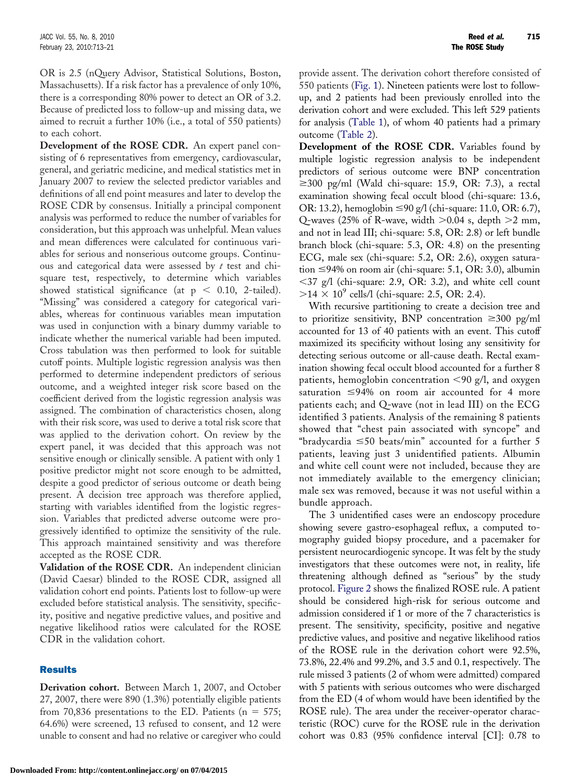OR is 2.5 (nQuery Advisor, Statistical Solutions, Boston, Massachusetts). If a risk factor has a prevalence of only 10%, there is a corresponding 80% power to detect an OR of 3.2. Because of predicted loss to follow-up and missing data, we aimed to recruit a further 10% (i.e., a total of 550 patients) to each cohort.

**Development of the ROSE CDR.** An expert panel consisting of 6 representatives from emergency, cardiovascular, general, and geriatric medicine, and medical statistics met in January 2007 to review the selected predictor variables and definitions of all end point measures and later to develop the ROSE CDR by consensus. Initially a principal component analysis was performed to reduce the number of variables for consideration, but this approach was unhelpful. Mean values and mean differences were calculated for continuous variables for serious and nonserious outcome groups. Continuous and categorical data were assessed by *t* test and chisquare test, respectively, to determine which variables showed statistical significance (at  $p < 0.10$ , 2-tailed). "Missing" was considered a category for categorical variables, whereas for continuous variables mean imputation was used in conjunction with a binary dummy variable to indicate whether the numerical variable had been imputed. Cross tabulation was then performed to look for suitable cutoff points. Multiple logistic regression analysis was then performed to determine independent predictors of serious outcome, and a weighted integer risk score based on the coefficient derived from the logistic regression analysis was assigned. The combination of characteristics chosen, along with their risk score, was used to derive a total risk score that was applied to the derivation cohort. On review by the expert panel, it was decided that this approach was not sensitive enough or clinically sensible. A patient with only 1 positive predictor might not score enough to be admitted, despite a good predictor of serious outcome or death being present. A decision tree approach was therefore applied, starting with variables identified from the logistic regression. Variables that predicted adverse outcome were progressively identified to optimize the sensitivity of the rule. This approach maintained sensitivity and was therefore accepted as the ROSE CDR.

**Validation of the ROSE CDR.** An independent clinician (David Caesar) blinded to the ROSE CDR, assigned all validation cohort end points. Patients lost to follow-up were excluded before statistical analysis. The sensitivity, specificity, positive and negative predictive values, and positive and negative likelihood ratios were calculated for the ROSE CDR in the validation cohort.

## Results

**Derivation cohort.** Between March 1, 2007, and October 27, 2007, there were 890 (1.3%) potentially eligible patients from 70,836 presentations to the ED. Patients ( $n = 575$ ; 64.6%) were screened, 13 refused to consent, and 12 were unable to consent and had no relative or caregiver who could provide assent. The derivation cohort therefore consisted of 550 patients [\(Fig. 1\)](#page-3-0). Nineteen patients were lost to followup, and 2 patients had been previously enrolled into the derivation cohort and were excluded. This left 529 patients for analysis [\(Table 1\)](#page-4-0), of whom 40 patients had a primary outcome [\(Table 2\)](#page-5-0).

**Development of the ROSE CDR.** Variables found by multiple logistic regression analysis to be independent predictors of serious outcome were BNP concentration  $\geq$ 300 pg/ml (Wald chi-square: 15.9, OR: 7.3), a rectal examination showing fecal occult blood (chi-square: 13.6, OR: 13.2), hemoglobin ≤90 g/l (chi-square: 11.0, OR: 6.7), Q-waves (25% of R-wave, width  $>$  0.04 s, depth  $>$  2 mm, and not in lead III; chi-square: 5.8, OR: 2.8) or left bundle branch block (chi-square: 5.3, OR: 4.8) on the presenting ECG, male sex (chi-square: 5.2, OR: 2.6), oxygen saturation ≤94% on room air (chi-square: 5.1, OR: 3.0), albumin  $\langle 37 \rangle$  g/l (chi-square: 2.9, OR: 3.2), and white cell count  $>14 \times 10^{9}$  cells/1 (chi-square: 2.5, OR: 2.4).

With recursive partitioning to create a decision tree and to prioritize sensitivity, BNP concentration  $\geq 300$  pg/ml accounted for 13 of 40 patients with an event. This cutoff maximized its specificity without losing any sensitivity for detecting serious outcome or all-cause death. Rectal examination showing fecal occult blood accounted for a further 8 patients, hemoglobin concentration  $\langle 90 \rangle$  g/l, and oxygen saturation  $\leq$ 94% on room air accounted for 4 more patients each; and Q-wave (not in lead III) on the ECG identified 3 patients. Analysis of the remaining 8 patients showed that "chest pain associated with syncope" and "bradycardia  $\leq$ 50 beats/min" accounted for a further 5 patients, leaving just 3 unidentified patients. Albumin and white cell count were not included, because they are not immediately available to the emergency clinician; male sex was removed, because it was not useful within a bundle approach.

The 3 unidentified cases were an endoscopy procedure showing severe gastro-esophageal reflux, a computed tomography guided biopsy procedure, and a pacemaker for persistent neurocardiogenic syncope. It was felt by the study investigators that these outcomes were not, in reality, life threatening although defined as "serious" by the study protocol. [Figure 2](#page-5-0) shows the finalized ROSE rule. A patient should be considered high-risk for serious outcome and admission considered if 1 or more of the 7 characteristics is present. The sensitivity, specificity, positive and negative predictive values, and positive and negative likelihood ratios of the ROSE rule in the derivation cohort were 92.5%, 73.8%, 22.4% and 99.2%, and 3.5 and 0.1, respectively. The rule missed 3 patients (2 of whom were admitted) compared with 5 patients with serious outcomes who were discharged from the ED (4 of whom would have been identified by the ROSE rule). The area under the receiver-operator characteristic (ROC) curve for the ROSE rule in the derivation cohort was 0.83 (95% confidence interval [CI]: 0.78 to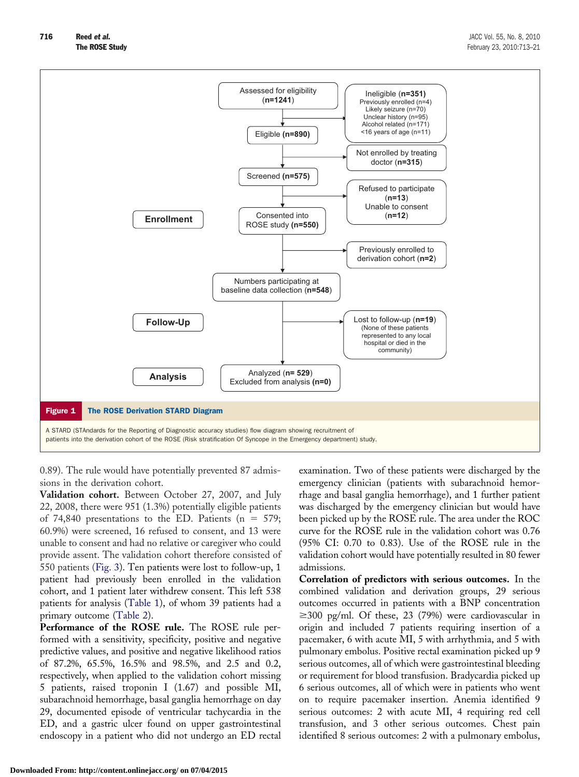<span id="page-3-0"></span>

0.89). The rule would have potentially prevented 87 admissions in the derivation cohort.

**Validation cohort.** Between October 27, 2007, and July 22, 2008, there were 951 (1.3%) potentially eligible patients of 74,840 presentations to the ED. Patients ( $n = 579$ ; 60.9%) were screened, 16 refused to consent, and 13 were unable to consent and had no relative or caregiver who could provide assent. The validation cohort therefore consisted of 550 patients [\(Fig. 3\)](#page-6-0). Ten patients were lost to follow-up, 1 patient had previously been enrolled in the validation cohort, and 1 patient later withdrew consent. This left 538 patients for analysis [\(Table 1\)](#page-4-0), of whom 39 patients had a primary outcome [\(Table 2\)](#page-5-0).

**Performance of the ROSE rule.** The ROSE rule performed with a sensitivity, specificity, positive and negative predictive values, and positive and negative likelihood ratios of 87.2%, 65.5%, 16.5% and 98.5%, and 2.5 and 0.2, respectively, when applied to the validation cohort missing 5 patients, raised troponin I (1.67) and possible MI, subarachnoid hemorrhage, basal ganglia hemorrhage on day 29, documented episode of ventricular tachycardia in the ED, and a gastric ulcer found on upper gastrointestinal endoscopy in a patient who did not undergo an ED rectal

examination. Two of these patients were discharged by the emergency clinician (patients with subarachnoid hemorrhage and basal ganglia hemorrhage), and 1 further patient was discharged by the emergency clinician but would have been picked up by the ROSE rule. The area under the ROC curve for the ROSE rule in the validation cohort was 0.76 (95% CI: 0.70 to 0.83). Use of the ROSE rule in the validation cohort would have potentially resulted in 80 fewer admissions.

**Correlation of predictors with serious outcomes.** In the combined validation and derivation groups, 29 serious outcomes occurred in patients with a BNP concentration  $\geq$ 300 pg/ml. Of these, 23 (79%) were cardiovascular in origin and included 7 patients requiring insertion of a pacemaker, 6 with acute MI, 5 with arrhythmia, and 5 with pulmonary embolus. Positive rectal examination picked up 9 serious outcomes, all of which were gastrointestinal bleeding or requirement for blood transfusion. Bradycardia picked up 6 serious outcomes, all of which were in patients who went on to require pacemaker insertion. Anemia identified 9 serious outcomes: 2 with acute MI, 4 requiring red cell transfusion, and 3 other serious outcomes. Chest pain identified 8 serious outcomes: 2 with a pulmonary embolus,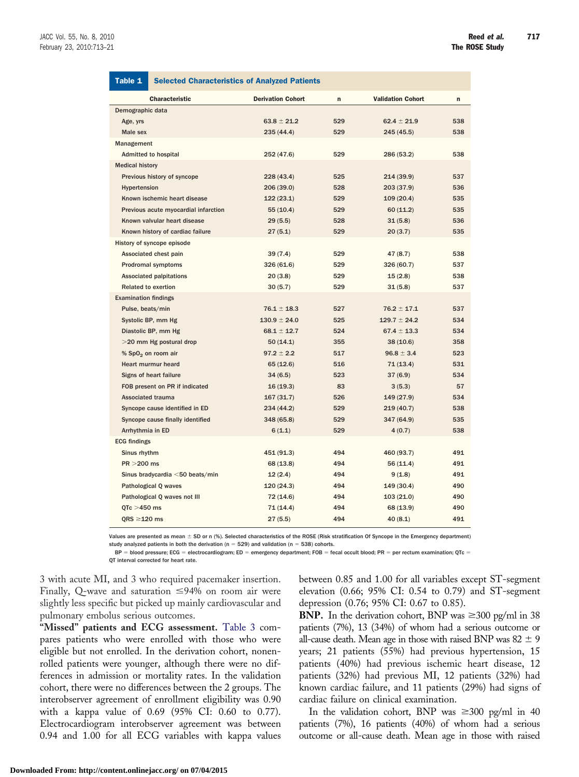<span id="page-4-0"></span>

| Table 1                              | <b>Selected Characteristics of Analyzed Patients</b> |             |                          |             |  |
|--------------------------------------|------------------------------------------------------|-------------|--------------------------|-------------|--|
| <b>Characteristic</b>                | <b>Derivation Cohort</b>                             | $\mathbf n$ | <b>Validation Cohort</b> | $\mathbf n$ |  |
| Demographic data                     |                                                      |             |                          |             |  |
| Age, yrs                             | $63.8 \pm 21.2$                                      | 529         | $62.4 \pm 21.9$          | 538         |  |
| Male sex                             | 235(44.4)                                            | 529         | 245(45.5)                | 538         |  |
| Management                           |                                                      |             |                          |             |  |
| <b>Admitted to hospital</b>          | 252 (47.6)                                           | 529         | 286 (53.2)               | 538         |  |
| <b>Medical history</b>               |                                                      |             |                          |             |  |
| Previous history of syncope          | 228(43.4)                                            | 525         | 214(39.9)                | 537         |  |
| Hypertension                         | 206 (39.0)                                           | 528         | 203 (37.9)               | 536         |  |
| Known ischemic heart disease         | 122(23.1)                                            | 529         |                          | 535         |  |
| Previous acute myocardial infarction | 55(10.4)                                             | 529         |                          | 535         |  |
| Known valvular heart disease         | 29(5.5)                                              | 528         | 31(5.8)                  | 536         |  |
| Known history of cardiac failure     | 27(5.1)                                              | 529         | 20(3.7)                  | 535         |  |
| History of syncope episode           |                                                      |             |                          |             |  |
| Associated chest pain                | 39(7.4)                                              | 529         | 47 (8.7)                 | 538         |  |
| <b>Prodromal symptoms</b>            | 326 (61.6)                                           | 529         | 326 (60.7)               | 537         |  |
| <b>Associated palpitations</b>       | 20(3.8)                                              | 529         |                          | 538         |  |
| <b>Related to exertion</b>           | 30(5.7)                                              | 529         | 31(5.8)                  | 537         |  |
| <b>Examination findings</b>          |                                                      |             |                          |             |  |
| Pulse, beats/min                     | $76.1 \pm 18.3$                                      | 527         | $76.2 \pm 17.1$          | 537         |  |
| Systolic BP, mm Hg                   | $130.9 \pm 24.0$                                     | 525         | $129.7 \pm 24.2$         | 534         |  |
| Diastolic BP, mm Hg                  | $68.1 \pm 12.7$                                      | 524         | $67.4 \pm 13.3$          | 534         |  |
| >20 mm Hg postural drop              | 50(14.1)                                             | 355         | 38(10.6)                 | 358         |  |
| % SpO <sub>2</sub> on room air       | $97.2 \pm 2.2$                                       | 517         | $96.8 \pm 3.4$           | 523         |  |
| <b>Heart murmur heard</b>            | 65(12.6)                                             | 516         | 71(13.4)                 | 531         |  |
| Signs of heart failure               | 34(6.5)                                              | 523         | 37(6.9)                  | 534         |  |
| FOB present on PR if indicated       | 16(19.3)                                             | 83          | 3(5.3)                   | 57          |  |
| <b>Associated trauma</b>             | 167(31.7)                                            | 526         | 149 (27.9)               | 534         |  |
| Syncope cause identified in ED       | 234 (44.2)                                           | 529         | 219(40.7)                | 538         |  |
| Syncope cause finally identified     | 348 (65.8)                                           | 529         | 347 (64.9)               | 535         |  |
| Arrhythmia in ED                     | 6(1.1)                                               | 529         | 4(0.7)                   | 538         |  |
| <b>ECG findings</b>                  |                                                      |             |                          |             |  |
| Sinus rhythm                         | 451 (91.3)                                           | 494         | 460 (93.7)               | 491         |  |
| PR > 200 ms                          | 68 (13.8)                                            | 494         | 56(11.4)                 | 491         |  |
| Sinus bradycardia <50 beats/min      | 12(2.4)                                              | 494         | 9(1.8)                   | 491         |  |
| <b>Pathological Q waves</b>          | 120(24.3)                                            | 494         | 149 (30.4)               | 490         |  |
| Pathological Q waves not III         | 72 (14.6)                                            | 494         | 103(21.0)                | 490         |  |
| $QTc > 450$ ms                       | 71(14.4)                                             | 494         | 68 (13.9)                | 490         |  |
| $QRS \geq 120$ ms                    | 27(5.5)                                              | 494         | 40 (8.1)                 | 491         |  |

Values are presented as mean ± SD or n (%). Selected characteristics of the ROSE (Risk stratification Of Syncope in the Emergency department) study analyzed patients in both the derivation ( $n = 529$ ) and validation ( $n = 538$ ) cohorts.

 $BP = blood pressure$ ; ECG = electrocardiogram; ED = emergency department; FOB = fecal occult blood; PR = per rectum examination; QTc =

QT interval corrected for heart rate.

3 with acute MI, and 3 who required pacemaker insertion. Finally, Q-wave and saturation  $\leq$ 94% on room air were slightly less specific but picked up mainly cardiovascular and pulmonary embolus serious outcomes.

**"Missed" patients and ECG assessment.** [Table 3](#page-6-0) compares patients who were enrolled with those who were eligible but not enrolled. In the derivation cohort, nonenrolled patients were younger, although there were no differences in admission or mortality rates. In the validation cohort, there were no differences between the 2 groups. The interobserver agreement of enrollment eligibility was 0.90 with a kappa value of 0.69 (95% CI: 0.60 to 0.77). Electrocardiogram interobserver agreement was between 0.94 and 1.00 for all ECG variables with kappa values between 0.85 and 1.00 for all variables except ST-segment elevation (0.66; 95% CI: 0.54 to 0.79) and ST-segment depression (0.76; 95% CI: 0.67 to 0.85).

**BNP.** In the derivation cohort, BNP was  $\geq 300$  pg/ml in 38 patients (7%), 13 (34%) of whom had a serious outcome or all-cause death. Mean age in those with raised BNP was  $82 \pm 9$ years; 21 patients (55%) had previous hypertension, 15 patients (40%) had previous ischemic heart disease, 12 patients (32%) had previous MI, 12 patients (32%) had known cardiac failure, and 11 patients (29%) had signs of cardiac failure on clinical examination.

In the validation cohort, BNP was  $\geq 300$  pg/ml in 40 patients (7%), 16 patients (40%) of whom had a serious outcome or all-cause death. Mean age in those with raised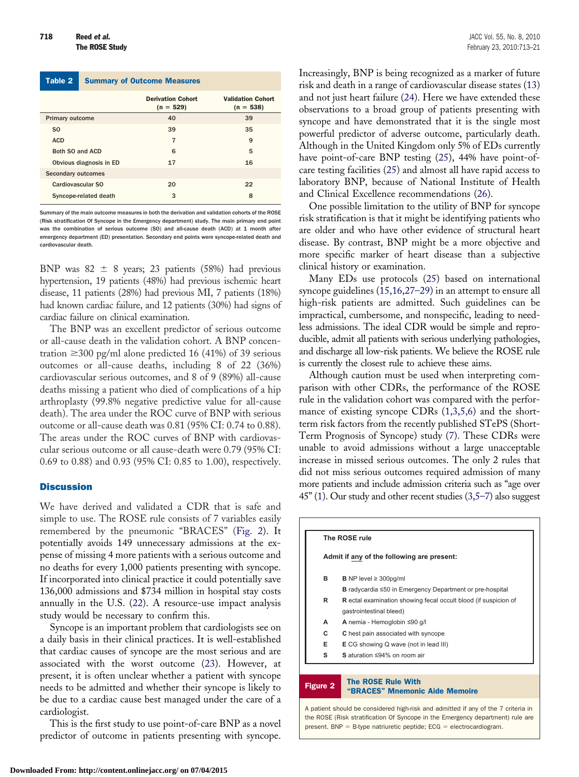<span id="page-5-0"></span>

| Table 2                   | <b>Summary of Outcome Measures</b> |                                         |                                         |  |  |
|---------------------------|------------------------------------|-----------------------------------------|-----------------------------------------|--|--|
|                           |                                    | <b>Derivation Cohort</b><br>$(n = 529)$ | <b>Validation Cohort</b><br>$(n = 538)$ |  |  |
| <b>Primary outcome</b>    |                                    | 40                                      | 39                                      |  |  |
| SO.                       |                                    | 39                                      | 35                                      |  |  |
| <b>ACD</b>                |                                    | 7                                       | 9                                       |  |  |
| Both SO and ACD           |                                    | 6                                       | 5                                       |  |  |
| Obvious diagnosis in ED   |                                    | 17                                      | 16                                      |  |  |
| <b>Secondary outcomes</b> |                                    |                                         |                                         |  |  |
| Cardiovascular SO         |                                    | 20                                      | 22                                      |  |  |
| Syncope-related death     |                                    | 3                                       | 8                                       |  |  |

Summary of the main outcome measures in both the derivation and validation cohorts of the ROSE (Risk stratification Of Syncope in the Emergency department) study. The main primary end point was the combination of serious outcome (SO) and all-cause death (ACD) at 1 month after emergency department (ED) presentation. Secondary end points were syncope-related death and cardiovascular death.

BNP was  $82 \pm 8$  years; 23 patients (58%) had previous hypertension, 19 patients (48%) had previous ischemic heart disease, 11 patients (28%) had previous MI, 7 patients (18%) had known cardiac failure, and 12 patients (30%) had signs of cardiac failure on clinical examination.

The BNP was an excellent predictor of serious outcome or all-cause death in the validation cohort. A BNP concentration  $\geq$ 300 pg/ml alone predicted 16 (41%) of 39 serious outcomes or all-cause deaths, including 8 of 22 (36%) cardiovascular serious outcomes, and 8 of 9 (89%) all-cause deaths missing a patient who died of complications of a hip arthroplasty (99.8% negative predictive value for all-cause death). The area under the ROC curve of BNP with serious outcome or all-cause death was 0.81 (95% CI: 0.74 to 0.88). The areas under the ROC curves of BNP with cardiovascular serious outcome or all cause-death were 0.79 (95% CI: 0.69 to 0.88) and 0.93 (95% CI: 0.85 to 1.00), respectively.

## **Discussion**

We have derived and validated a CDR that is safe and simple to use. The ROSE rule consists of 7 variables easily remembered by the pneumonic "BRACES" (Fig. 2). It potentially avoids 149 unnecessary admissions at the expense of missing 4 more patients with a serious outcome and no deaths for every 1,000 patients presenting with syncope. If incorporated into clinical practice it could potentially save 136,000 admissions and \$734 million in hospital stay costs annually in the U.S. [\(22\)](#page-8-0). A resource-use impact analysis study would be necessary to confirm this.

Syncope is an important problem that cardiologists see on a daily basis in their clinical practices. It is well-established that cardiac causes of syncope are the most serious and are associated with the worst outcome [\(23\)](#page-8-0). However, at present, it is often unclear whether a patient with syncope needs to be admitted and whether their syncope is likely to be due to a cardiac cause best managed under the care of a cardiologist.

This is the first study to use point-of-care BNP as a novel predictor of outcome in patients presenting with syncope.

Increasingly, BNP is being recognized as a marker of future risk and death in a range of cardiovascular disease states [\(13\)](#page-7-0) and not just heart failure [\(24\)](#page-8-0). Here we have extended these observations to a broad group of patients presenting with syncope and have demonstrated that it is the single most powerful predictor of adverse outcome, particularly death. Although in the United Kingdom only 5% of EDs currently have point-of-care BNP testing [\(25\)](#page-8-0), 44% have point-ofcare testing facilities [\(25\)](#page-8-0) and almost all have rapid access to laboratory BNP, because of National Institute of Health and Clinical Excellence recommendations [\(26\)](#page-8-0).

One possible limitation to the utility of BNP for syncope risk stratification is that it might be identifying patients who are older and who have other evidence of structural heart disease. By contrast, BNP might be a more objective and more specific marker of heart disease than a subjective clinical history or examination.

Many EDs use protocols [\(25\)](#page-8-0) based on international syncope guidelines [\(15,16,27–29\)](#page-7-0) in an attempt to ensure all high-risk patients are admitted. Such guidelines can be impractical, cumbersome, and nonspecific, leading to needless admissions. The ideal CDR would be simple and reproducible, admit all patients with serious underlying pathologies, and discharge all low-risk patients. We believe the ROSE rule is currently the closest rule to achieve these aims.

Although caution must be used when interpreting comparison with other CDRs, the performance of the ROSE rule in the validation cohort was compared with the performance of existing syncope CDRs  $(1,3,5,6)$  and the shortterm risk factors from the recently published STePS (Short-Term Prognosis of Syncope) study [\(7\)](#page-7-0). These CDRs were unable to avoid admissions without a large unacceptable increase in missed serious outcomes. The only 2 rules that did not miss serious outcomes required admission of many more patients and include admission criteria such as "age over 45" [\(1\)](#page-7-0). Our study and other recent studies [\(3,5–7\)](#page-7-0) also suggest

| The ROSE rule   |                                                                        |  |  |
|-----------------|------------------------------------------------------------------------|--|--|
|                 | Admit if any of the following are present:                             |  |  |
| в               | <b>B</b> NP level $\geq$ 300pg/ml                                      |  |  |
|                 | <b>B</b> radycardia $\leq 50$ in Emergency Department or pre-hospital  |  |  |
| R               | <b>R</b> ectal examination showing fecal occult blood (if suspicion of |  |  |
|                 | gastrointestinal bleed)                                                |  |  |
| А               | A nemia - Hemoglobin ≤90 g/l                                           |  |  |
| c               | C hest pain associated with syncope                                    |  |  |
| Е               | <b>E</b> CG showing Q wave (not in lead III)                           |  |  |
| s               | S aturation $\leq 94\%$ on room air                                    |  |  |
|                 |                                                                        |  |  |
| <b>Figure 2</b> | <b>The ROSE Rule With</b><br>"BRACES" Mnemonic Aide Memoire            |  |  |

A patient should be considered high-risk and admitted if any of the 7 criteria in the ROSE (Risk stratification Of Syncope in the Emergency department) rule are present. BNP = B-type natriuretic peptide;  $ECG = electrocardiogram$ .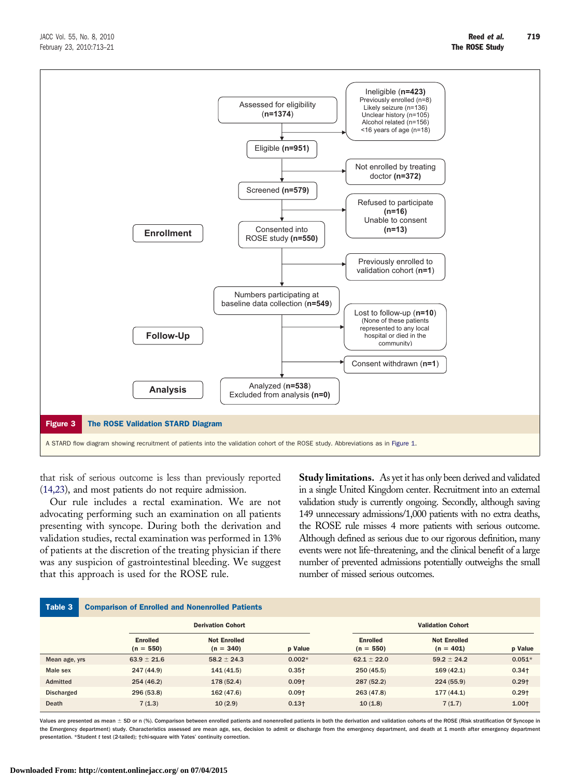<span id="page-6-0"></span>

that risk of serious outcome is less than previously reported [\(14,23\)](#page-7-0), and most patients do not require admission.

Our rule includes a rectal examination. We are not advocating performing such an examination on all patients presenting with syncope. During both the derivation and validation studies, rectal examination was performed in 13% of patients at the discretion of the treating physician if there was any suspicion of gastrointestinal bleeding. We suggest that this approach is used for the ROSE rule.

**Study limitations.** As yet it has only been derived and validated in a single United Kingdom center. Recruitment into an external validation study is currently ongoing. Secondly, although saving 149 unnecessary admissions/1,000 patients with no extra deaths, the ROSE rule misses 4 more patients with serious outcome. Although defined as serious due to our rigorous definition, many events were not life-threatening, and the clinical benefit of a large number of prevented admissions potentially outweighs the small number of missed serious outcomes.

| Table 3<br><b>Comparison of Enrolled and Nonenrolled Patients</b> |                                |                                    |          |                                |                                    |          |  |
|-------------------------------------------------------------------|--------------------------------|------------------------------------|----------|--------------------------------|------------------------------------|----------|--|
|                                                                   |                                | <b>Derivation Cohort</b>           |          |                                | <b>Validation Cohort</b>           |          |  |
|                                                                   | <b>Enrolled</b><br>$(n = 550)$ | <b>Not Enrolled</b><br>$(n = 340)$ | p Value  | <b>Enrolled</b><br>$(n = 550)$ | <b>Not Enrolled</b><br>$(n = 401)$ | p Value  |  |
| Mean age, yrs                                                     | $63.9 \pm 21.6$                | $58.2 \pm 24.3$                    | $0.002*$ | $62.1 \pm 22.0$                | $59.2 \pm 24.2$                    | $0.051*$ |  |
| Male sex                                                          | 247 (44.9)                     | 141(41.5)                          | $0.35+$  | 250(45.5)                      | 169(42.1)                          | $0.34+$  |  |
| Admitted                                                          | 254 (46.2)                     | 178 (52.4)                         | $0.09+$  | 287 (52.2)                     | 224(55.9)                          | $0.29+$  |  |
| <b>Discharged</b>                                                 | 296 (53.8)                     | 162(47.6)                          | $0.09+$  | 263(47.8)                      | 177(44.1)                          | $0.29+$  |  |
| Death                                                             | 7(1.3)                         | 10(2.9)                            | $0.13+$  | 10(1.8)                        | 7(1.7)                             | $1.00+$  |  |

Values are presented as mean  $\pm$  SD or n (%). Comparison between enrolled patients and nonenrolled patients in both the derivation and validation cohorts of the ROSE (Risk stratification Of Syncope in the Emergency department) study. Characteristics assessed are mean age, sex, decision to admit or discharge from the emergency department, and death at 1 month after emergency department presentation. \*Student *t* test (2-tailed); †chi-square with Yates' continuity correction.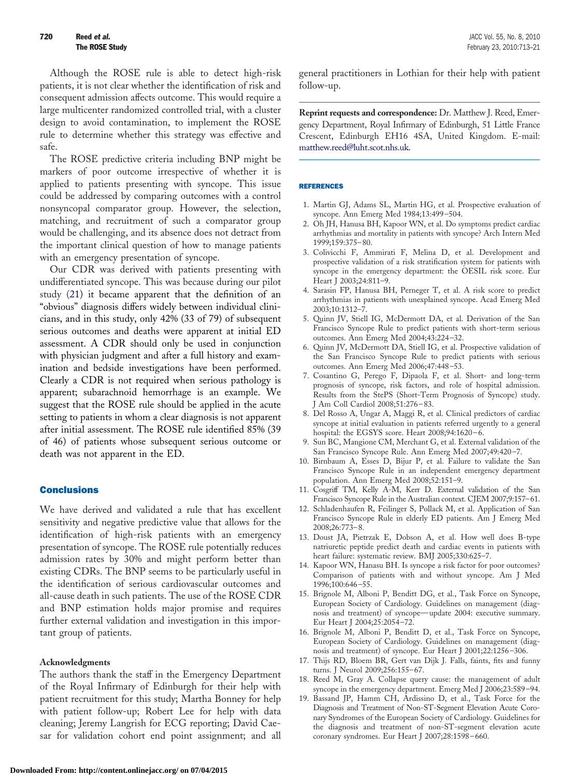<span id="page-7-0"></span>Although the ROSE rule is able to detect high-risk patients, it is not clear whether the identification of risk and consequent admission affects outcome. This would require a large multicenter randomized controlled trial, with a cluster design to avoid contamination, to implement the ROSE rule to determine whether this strategy was effective and safe.

The ROSE predictive criteria including BNP might be markers of poor outcome irrespective of whether it is applied to patients presenting with syncope. This issue could be addressed by comparing outcomes with a control nonsyncopal comparator group. However, the selection, matching, and recruitment of such a comparator group would be challenging, and its absence does not detract from the important clinical question of how to manage patients with an emergency presentation of syncope.

Our CDR was derived with patients presenting with undifferentiated syncope. This was because during our pilot study [\(21\)](#page-8-0) it became apparent that the definition of an "obvious" diagnosis differs widely between individual clinicians, and in this study, only 42% (33 of 79) of subsequent serious outcomes and deaths were apparent at initial ED assessment. A CDR should only be used in conjunction with physician judgment and after a full history and examination and bedside investigations have been performed. Clearly a CDR is not required when serious pathology is apparent; subarachnoid hemorrhage is an example. We suggest that the ROSE rule should be applied in the acute setting to patients in whom a clear diagnosis is not apparent after initial assessment. The ROSE rule identified 85% (39 of 46) of patients whose subsequent serious outcome or death was not apparent in the ED.

## **Conclusions**

We have derived and validated a rule that has excellent sensitivity and negative predictive value that allows for the identification of high-risk patients with an emergency presentation of syncope. The ROSE rule potentially reduces admission rates by 30% and might perform better than existing CDRs. The BNP seems to be particularly useful in the identification of serious cardiovascular outcomes and all-cause death in such patients. The use of the ROSE CDR and BNP estimation holds major promise and requires further external validation and investigation in this important group of patients.

### **Acknowledgments**

The authors thank the staff in the Emergency Department of the Royal Infirmary of Edinburgh for their help with patient recruitment for this study; Martha Bonney for help with patient follow-up; Robert Lee for help with data cleaning; Jeremy Langrish for ECG reporting; David Caesar for validation cohort end point assignment; and all

general practitioners in Lothian for their help with patient follow-up.

**Reprint requests and correspondence:** Dr. Matthew J. Reed, Emergency Department, Royal Infirmary of Edinburgh, 51 Little France Crescent, Edinburgh EH16 4SA, United Kingdom. E-mail: [matthew.reed@luht.scot.nhs.uk.](mailto:matthew.reed@luht.scot.nhs.uk)

#### REFERENCES

- 1. Martin GJ, Adams SL, Martin HG, et al. Prospective evaluation of syncope. Ann Emerg Med 1984;13:499–504.
- 2. Oh JH, Hanusa BH, Kapoor WN, et al. Do symptoms predict cardiac arrhythmias and mortality in patients with syncope? Arch Intern Med 1999;159:375–80.
- 3. Colivicchi F, Ammirati F, Melina D, et al. Development and prospective validation of a risk stratification system for patients with syncope in the emergency department: the OESIL risk score. Eur Heart J 2003;24:811–9.
- 4. Sarasin FP, Hanusa BH, Perneger T, et al. A risk score to predict arrhythmias in patients with unexplained syncope. Acad Emerg Med 2003;10:1312–7.
- 5. Quinn JV, Stiell IG, McDermott DA, et al. Derivation of the San Francisco Syncope Rule to predict patients with short-term serious outcomes. Ann Emerg Med 2004;43:224–32.
- 6. Quinn JV, McDermott DA, Stiell IG, et al. Prospective validation of the San Francisco Syncope Rule to predict patients with serious outcomes. Ann Emerg Med 2006;47:448–53.
- 7. Cosantino G, Perego F, Dipaola F, et al. Short- and long-term prognosis of syncope, risk factors, and role of hospital admission. Results from the StePS (Short-Term Prognosis of Syncope) study. J Am Coll Cardiol 2008;51:276–83.
- 8. Del Rosso A, Ungar A, Maggi R, et al. Clinical predictors of cardiac syncope at initial evaluation in patients referred urgently to a general hospital: the EGSYS score. Heart 2008;94:1620–6.
- 9. Sun BC, Mangione CM, Merchant G, et al. External validation of the San Francisco Syncope Rule. Ann Emerg Med 2007;49:420–7.
- 10. Birnbaum A, Esses D, Bijur P, et al. Failure to validate the San Francisco Syncope Rule in an independent emergency department population. Ann Emerg Med 2008;52:151–9.
- 11. Cosgriff TM, Kelly A-M, Kerr D. External validation of the San Francisco Syncope Rule in the Australian context. CJEM 2007;9:157–61.
- 12. Schladenhaufen R, Feilinger S, Pollack M, et al. Application of San Francisco Syncope Rule in elderly ED patients. Am J Emerg Med 2008;26:773–8.
- 13. Doust JA, Pietrzak E, Dobson A, et al. How well does B-type natriuretic peptide predict death and cardiac events in patients with heart failure: systematic review. BMJ 2005;330:625–7.
- 14. Kapoor WN, Hanasu BH. Is syncope a risk factor for poor outcomes? Comparison of patients with and without syncope. Am J Med 1996;100:646–55.
- 15. Brignole M, Alboni P, Benditt DG, et al., Task Force on Syncope, European Society of Cardiology. Guidelines on management (diagnosis and treatment) of syncope—update 2004: executive summary. Eur Heart J 2004;25:2054–72.
- 16. Brignole M, Alboni P, Benditt D, et al., Task Force on Syncope, European Society of Cardiology. Guidelines on management (diagnosis and treatment) of syncope. Eur Heart J 2001;22:1256–306.
- 17. Thijs RD, Bloem BR, Gert van Dijk J. Falls, faints, fits and funny turns. J Neurol 2009;256:155–67.
- 18. Reed M, Gray A. Collapse query cause: the management of adult syncope in the emergency department. Emerg Med J 2006;23:589–94.
- 19. Bassand JP, Hamm CH, Ardissino D, et al., Task Force for the Diagnosis and Treatment of Non-ST-Segment Elevation Acute Coronary Syndromes of the European Society of Cardiology. Guidelines for the diagnosis and treatment of non-ST-segment elevation acute coronary syndromes. Eur Heart J 2007;28:1598–660.